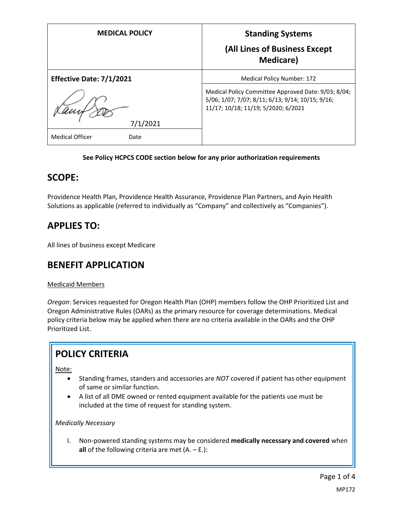| <b>MEDICAL POLICY</b>          | <b>Standing Systems</b><br>(All Lines of Business Except<br><b>Medicare</b> )                                                                  |
|--------------------------------|------------------------------------------------------------------------------------------------------------------------------------------------|
| Effective Date: 7/1/2021       | <b>Medical Policy Number: 172</b>                                                                                                              |
| 7/1/2021                       | Medical Policy Committee Approved Date: 9/03; 8/04;<br>5/06; 1/07; 7/07; 8/11; 6/13; 9/14; 10/15; 9/16;<br>11/17; 10/18; 11/19; 5/2020; 6/2021 |
| <b>Medical Officer</b><br>Date |                                                                                                                                                |

### **See Policy HCPCS CODE section below for any prior authorization requirements**

### **SCOPE:**

Providence Health Plan, Providence Health Assurance, Providence Plan Partners, and Ayin Health Solutions as applicable (referred to individually as "Company" and collectively as "Companies").

# **APPLIES TO:**

All lines of business except Medicare

# **BENEFIT APPLICATION**

### Medicaid Members

*Oregon*: Services requested for Oregon Health Plan (OHP) members follow the OHP Prioritized List and Oregon Administrative Rules (OARs) as the primary resource for coverage determinations. Medical policy criteria below may be applied when there are no criteria available in the OARs and the OHP Prioritized List.

### **POLICY CRITERIA**

Note:

- Standing frames, standers and accessories are *NOT* covered if patient has other equipment of same or similar function.
- A list of all DME owned or rented equipment available for the patients use must be included at the time of request for standing system.

### *Medically Necessary*

I. Non-powered standing systems may be considered **medically necessary and covered** when **all** of the following criteria are met (A. – E.):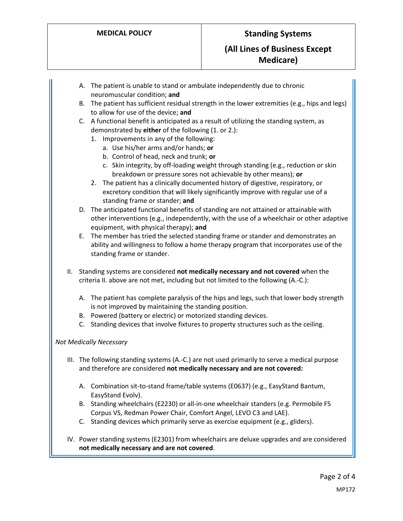- A. The patient is unable to stand or ambulate independently due to chronic neuromuscular condition; **and**
- B. The patient has sufficient residual strength in the lower extremities (e.g., hips and legs) to allow for use of the device; **and**
- C. A functional benefit is anticipated as a result of utilizing the standing system, as demonstrated by **either** of the following (1. or 2.):
	- 1. Improvements in any of the following:
		- a. Use his/her arms and/or hands; **or**
		- b. Control of head, neck and trunk; **or**
		- c. Skin integrity, by off-loading weight through standing (e.g., reduction or skin breakdown or pressure sores not achievable by other means); **or**
	- 2. The patient has a clinically documented history of digestive, respiratory, or excretory condition that will likely significantly improve with regular use of a standing frame or stander; **and**
- D. The anticipated functional benefits of standing are not attained or attainable with other interventions (e.g., independently, with the use of a wheelchair or other adaptive equipment, with physical therapy); **and**
- E. The member has tried the selected standing frame or stander and demonstrates an ability and willingness to follow a home therapy program that incorporates use of the standing frame or stander.
- II. Standing systems are considered **not medically necessary and not covered** when the criteria II. above are not met, including but not limited to the following (A.-C.):
	- A. The patient has complete paralysis of the hips and legs, such that lower body strength is not improved by maintaining the standing position.
	- B. Powered (battery or electric) or motorized standing devices.
	- C. Standing devices that involve fixtures to property structures such as the ceiling.

### *Not Medically Necessary*

- III. The following standing systems (A.-C.) are not used primarily to serve a medical purpose and therefore are considered **not medically necessary and are not covered:**
	- A. Combination sit-to-stand frame/table systems (E0637) (e.g., EasyStand Bantum, EasyStand Evolv).
	- B. Standing wheelchairs (E2230) or all-in-one wheelchair standers (e.g. Permobile F5 Corpus VS, Redman Power Chair, Comfort Angel, LEVO C3 and LAE).
	- C. Standing devices which primarily serve as exercise equipment (e.g., gliders).
- IV. Power standing systems (E2301) from wheelchairs are deluxe upgrades and are considered **not medically necessary and are not covered**.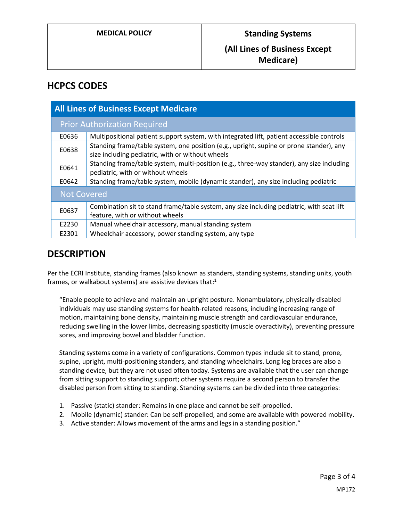### **(All Lines of Business Except Medicare)**

## **HCPCS CODES**

| <b>All Lines of Business Except Medicare</b> |                                                                                                                                             |
|----------------------------------------------|---------------------------------------------------------------------------------------------------------------------------------------------|
| <b>Prior Authorization Required</b>          |                                                                                                                                             |
| E0636                                        | Multipositional patient support system, with integrated lift, patient accessible controls                                                   |
| E0638                                        | Standing frame/table system, one position (e.g., upright, supine or prone stander), any<br>size including pediatric, with or without wheels |
| E0641                                        | Standing frame/table system, multi-position (e.g., three-way stander), any size including<br>pediatric, with or without wheels              |
| E0642                                        | Standing frame/table system, mobile (dynamic stander), any size including pediatric                                                         |
| <b>Not Covered</b>                           |                                                                                                                                             |
| E0637                                        | Combination sit to stand frame/table system, any size including pediatric, with seat lift<br>feature, with or without wheels                |
| E2230                                        | Manual wheelchair accessory, manual standing system                                                                                         |
| E2301                                        | Wheelchair accessory, power standing system, any type                                                                                       |

## **DESCRIPTION**

Per the ECRI Institute, standing frames (also known as standers, standing systems, standing units, youth frames, or walkabout systems) are assistive devices that:<sup>1</sup>

"Enable people to achieve and maintain an upright posture. Nonambulatory, physically disabled individuals may use standing systems for health-related reasons, including increasing range of motion, maintaining bone density, maintaining muscle strength and cardiovascular endurance, reducing swelling in the lower limbs, decreasing spasticity (muscle overactivity), preventing pressure sores, and improving bowel and bladder function.

Standing systems come in a variety of configurations. Common types include sit to stand, prone, supine, upright, multi-positioning standers, and standing wheelchairs. Long leg braces are also a standing device, but they are not used often today. Systems are available that the user can change from sitting support to standing support; other systems require a second person to transfer the disabled person from sitting to standing. Standing systems can be divided into three categories:

- 1. Passive (static) stander: Remains in one place and cannot be self-propelled.
- 2. Mobile (dynamic) stander: Can be self-propelled, and some are available with powered mobility.
- 3. Active stander: Allows movement of the arms and legs in a standing position."